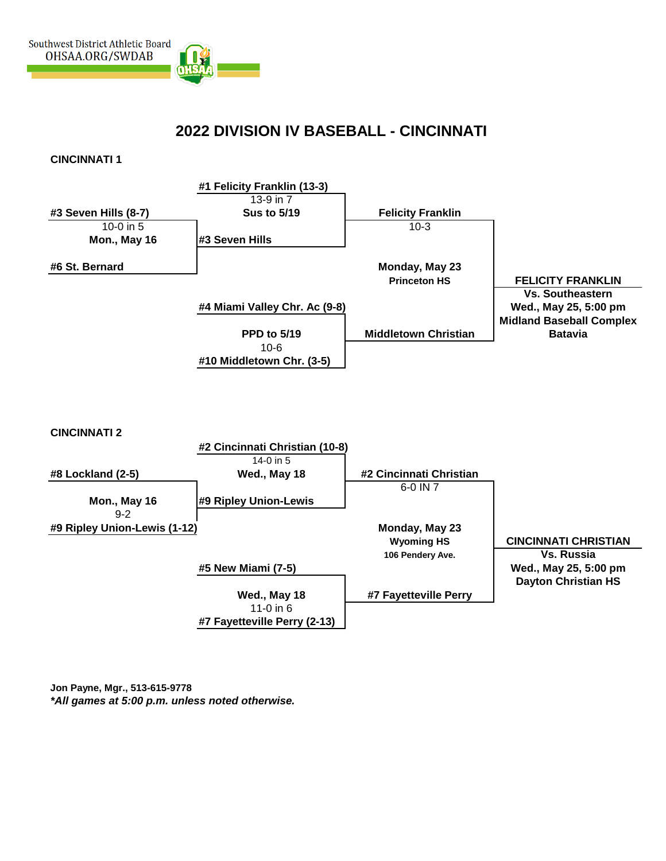

## **2022 DIVISION IV BASEBALL - CINCINNATI**

**CINCINNATI 1**



**Jon Payne, Mgr., 513-615-9778** *\*All games at 5:00 p.m. unless noted otherwise.*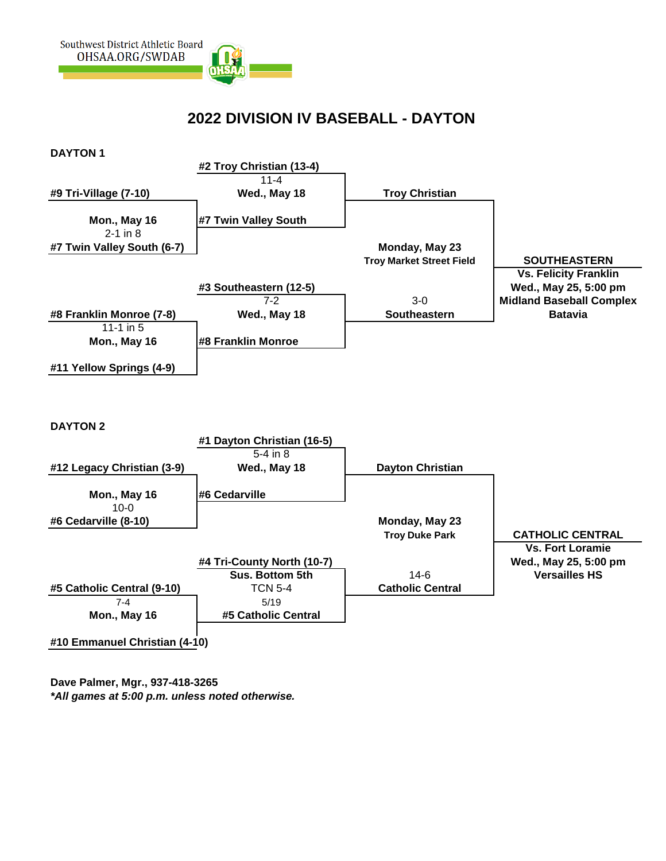

## **2022 DIVISION IV BASEBALL - DAYTON**



**Dave Palmer, Mgr., 937-418-3265** *\*All games at 5:00 p.m. unless noted otherwise.*